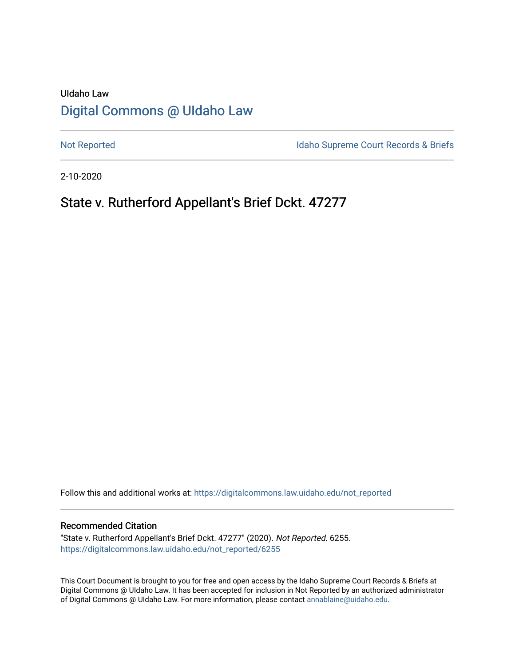# UIdaho Law [Digital Commons @ UIdaho Law](https://digitalcommons.law.uidaho.edu/)

[Not Reported](https://digitalcommons.law.uidaho.edu/not_reported) **Idaho Supreme Court Records & Briefs** 

2-10-2020

# State v. Rutherford Appellant's Brief Dckt. 47277

Follow this and additional works at: [https://digitalcommons.law.uidaho.edu/not\\_reported](https://digitalcommons.law.uidaho.edu/not_reported?utm_source=digitalcommons.law.uidaho.edu%2Fnot_reported%2F6255&utm_medium=PDF&utm_campaign=PDFCoverPages) 

#### Recommended Citation

"State v. Rutherford Appellant's Brief Dckt. 47277" (2020). Not Reported. 6255. [https://digitalcommons.law.uidaho.edu/not\\_reported/6255](https://digitalcommons.law.uidaho.edu/not_reported/6255?utm_source=digitalcommons.law.uidaho.edu%2Fnot_reported%2F6255&utm_medium=PDF&utm_campaign=PDFCoverPages)

This Court Document is brought to you for free and open access by the Idaho Supreme Court Records & Briefs at Digital Commons @ UIdaho Law. It has been accepted for inclusion in Not Reported by an authorized administrator of Digital Commons @ UIdaho Law. For more information, please contact [annablaine@uidaho.edu](mailto:annablaine@uidaho.edu).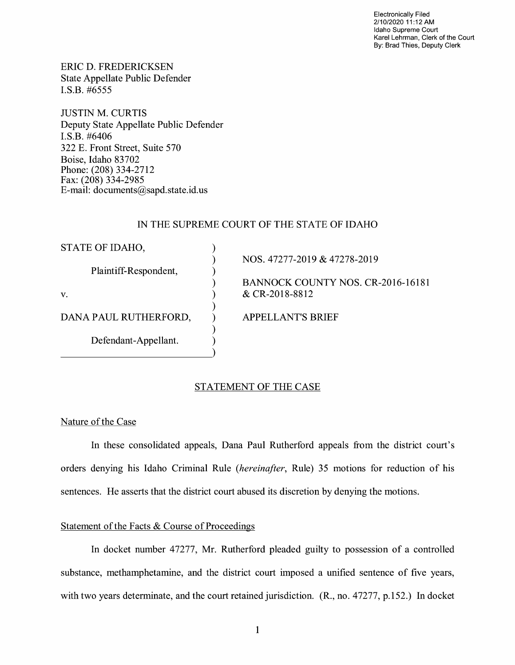Electronically Filed 2/10/2020 11 :12 AM Idaho Supreme Court Karel Lehrman, Clerk of the Court By: Brad Thies, Deputy Clerk

ERIC D. FREDERICKSEN State Appellate Public Defender I.S.B. #6555

JUSTIN M. CURTIS Deputy State Appellate Public Defender I.S.B. #6406 322 E. Front Street, Suite 570 Boise, Idaho 83702 Phone: (208) 334-2712 Fax: (208) 334-2985 E-mail: documents@sapd.state.id. us

## IN THE SUPREME COURT OF THE STATE OF IDAHO

) ) ) ) ) ) ) ) )

STATE OF IDAHO,

Plaintiff-Respondent,

V.

DANA PAUL RUTHERFORD,

Defendant-Appellant.

NOS. 47277-2019 & 47278-2019

BANNOCK COUNTY NOS. CR-2016-16181 & CR-2018-8812

APPELLANT'S BRIEF

## STATEMENT OF THE CASE

Nature of the Case

In these consolidated appeals, Dana Paul Rutherford appeals from the district court's orders denying his Idaho Criminal Rule *(hereinafter,* Rule) 35 motions for reduction of his sentences. He asserts that the district court abused its discretion by denying the motions.

## Statement of the Facts & Course of Proceedings

In docket number 47277, Mr. Rutherford pleaded guilty to possession of a controlled substance, methamphetamine, and the district court imposed a unified sentence of five years, with two years determinate, and the court retained jurisdiction. (R., no. 47277, p.152.) In docket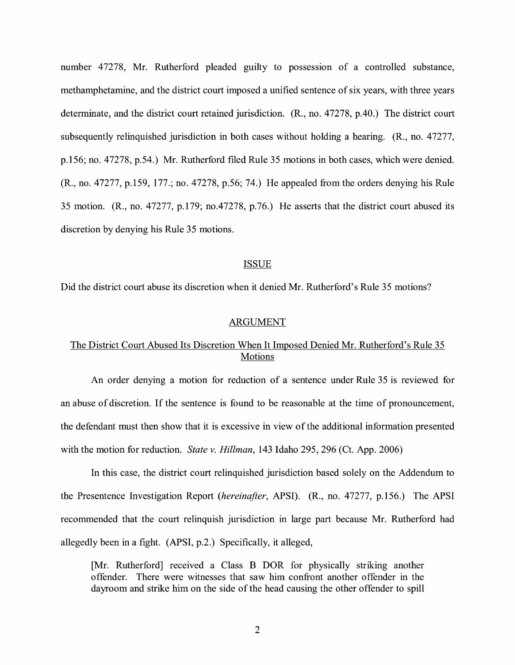number 47278, Mr. Rutherford pleaded guilty to possession of a controlled substance, methamphetamine, and the district court imposed a unified sentence of six years, with three years determinate, and the district court retained jurisdiction. (R., no. 47278, p.40.) The district court subsequently relinquished jurisdiction in both cases without holding a hearing. (R., no. 47277, p.156; no. 47278, p.54.) Mr. Rutherford filed Rule 35 motions in both cases, which were denied. (R., no. 47277, p.159, 177.; no. 47278, p.56; 74.) He appealed from the orders denying his Rule 35 motion. (R., no. 47277, p.179; no.47278, p.76.) He asserts that the district court abused its discretion by denying his Rule 35 motions.

#### ISSUE

Did the district court abuse its discretion when it denied Mr. Rutherford's Rule 35 motions?

#### ARGUMENT

## The District Court Abused Its Discretion When It Imposed Denied Mr. Rutherford's Rule 35 Motions

An order denying a motion for reduction of a sentence under Rule 35 is reviewed for an abuse of discretion. If the sentence is found to be reasonable at the time of pronouncement, the defendant must then show that it is excessive in view of the additional information presented with the motion for reduction. *State v. Hillman,* 143 Idaho 295, 296 (Ct. App. 2006)

In this case, the district court relinquished jurisdiction based solely on the Addendum to the Presentence Investigation Report *(hereinafter,* APSI). (R., no. 47277, p.156.) The APSI recommended that the court relinquish jurisdiction in large part because Mr. Rutherford had allegedly been in a fight. (APSI, p.2.) Specifically, it alleged,

[Mr. Rutherford] received a Class B DOR for physically striking another offender. There were witnesses that saw him confront another offender in the dayroom and strike him on the side of the head causing the other offender to spill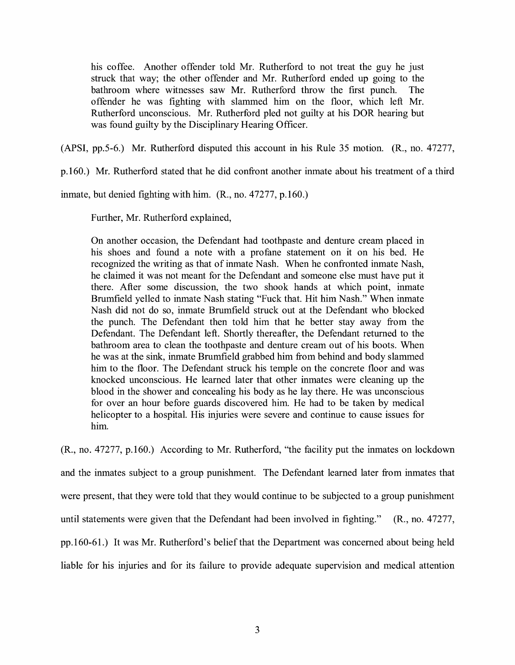his coffee. Another offender told Mr. Rutherford to not treat the guy he just struck that way; the other offender and Mr. Rutherford ended up going to the bathroom where witnesses saw Mr. Rutherford throw the first punch. The offender he was fighting with slammed him on the floor, which left Mr. Rutherford unconscious. Mr. Rutherford pled not guilty at his DOR hearing but was found guilty by the Disciplinary Hearing Officer.

(APSI, pp.5-6.) Mr. Rutherford disputed this account in his Rule 35 motion. (R., no. 47277,

p.160.) Mr. Rutherford stated that he did confront another inmate about his treatment of a third

inmate, but denied fighting with him. (R., no. 47277, p.160.)

Further, Mr. Rutherford explained,

On another occasion, the Defendant had toothpaste and denture cream placed in his shoes and found a note with a profane statement on it on his bed. He recognized the writing as that of inmate Nash. When he confronted inmate Nash, he claimed it was not meant for the Defendant and someone else must have put it there. After some discussion, the two shook hands at which point, inmate Brumfield yelled to inmate Nash stating "Fuck that. Hit him Nash." When inmate Nash did not do so, inmate Brumfield struck out at the Defendant who blocked the punch. The Defendant then told him that he better stay away from the Defendant. The Defendant left. Shortly thereafter, the Defendant returned to the bathroom area to clean the toothpaste and denture cream out of his boots. When he was at the sink, inmate Brumfield grabbed him from behind and body slammed him to the floor. The Defendant struck his temple on the concrete floor and was knocked unconscious. He learned later that other inmates were cleaning up the blood in the shower and concealing his body as he lay there. He was unconscious for over an hour before guards discovered him. He had to be taken by medical helicopter to a hospital. His injuries were severe and continue to cause issues for him.

(R., no. 47277, p.160.) According to Mr. Rutherford, "the facility put the inmates on lockdown and the inmates subject to a group punishment. The Defendant learned later from inmates that were present, that they were told that they would continue to be subjected to a group punishment until statements were given that the Defendant had been involved in fighting." (R., no. 47277, pp.160-61.) It was Mr. Rutherford's belief that the Department was concerned about being held liable for his injuries and for its failure to provide adequate supervision and medical attention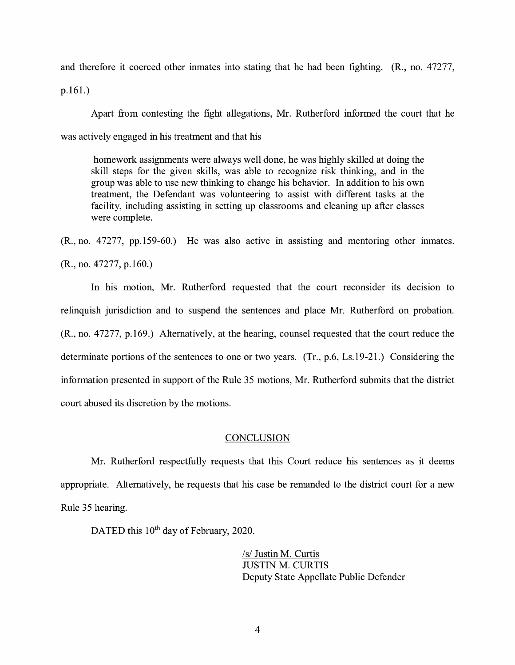and therefore it coerced other inmates into stating that he had been fighting. (R., no. 47277,

p.161.)

Apart from contesting the fight allegations, Mr. Rutherford informed the court that he was actively engaged in his treatment and that his

homework assignments were always well done, he was highly skilled at doing the skill steps for the given skills, was able to recognize risk thinking, and in the group was able to use new thinking to change his behavior. In addition to his own treatment, the Defendant was volunteering to assist with different tasks at the facility, including assisting in setting up classrooms and cleaning up after classes were complete.

(R., no. 47277, pp.159-60.) He was also active m assisting and mentoring other inmates. (R., no. 47277, p.160.)

In his motion, Mr. Rutherford requested that the court reconsider its decision to relinquish jurisdiction and to suspend the sentences and place Mr. Rutherford on probation. (R., no. 47277, p.169.) Alternatively, at the hearing, counsel requested that the court reduce the determinate portions of the sentences to one or two years. (Tr., p.6, Ls.19-21.) Considering the information presented in support of the Rule 35 motions, Mr. Rutherford submits that the district court abused its discretion by the motions.

#### **CONCLUSION**

Mr. Rutherford respectfully requests that this Court reduce his sentences as it deems appropriate. Alternatively, he requests that his case be remanded to the district court for a new Rule 35 hearing.

DATED this 10<sup>th</sup> day of February, 2020.

*Isl* Justin M. Curtis JUSTIN M. CURTIS Deputy State Appellate Public Defender